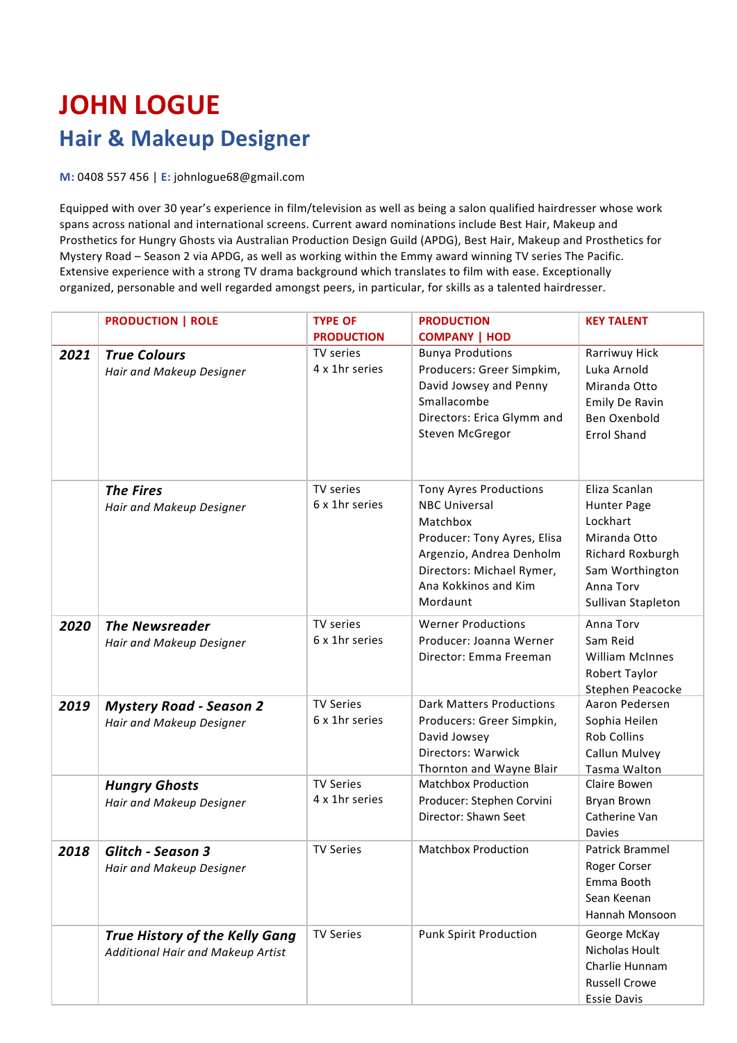## **JOHN LOGUE Hair & Makeup Designer**

**M:** 0408 557 456 | **E:** johnlogue68@gmail.com

Equipped with over 30 year's experience in film/television as well as being a salon qualified hairdresser whose work spans across national and international screens. Current award nominations include Best Hair, Makeup and Prosthetics for Hungry Ghosts via Australian Production Design Guild (APDG), Best Hair, Makeup and Prosthetics for Mystery Road – Season 2 via APDG, as well as working within the Emmy award winning TV series The Pacific. Extensive experience with a strong TV drama background which translates to film with ease. Exceptionally organized, personable and well regarded amongst peers, in particular, for skills as a talented hairdresser.

|      | <b>PRODUCTION   ROLE</b>                                            | <b>TYPE OF</b>                     | <b>PRODUCTION</b>                                                                                                                                                                             | <b>KEY TALENT</b>                                                                                                                  |
|------|---------------------------------------------------------------------|------------------------------------|-----------------------------------------------------------------------------------------------------------------------------------------------------------------------------------------------|------------------------------------------------------------------------------------------------------------------------------------|
|      |                                                                     | <b>PRODUCTION</b>                  | <b>COMPANY   HOD</b>                                                                                                                                                                          |                                                                                                                                    |
| 2021 | <b>True Colours</b><br>Hair and Makeup Designer                     | TV series<br>4 x 1hr series        | <b>Bunya Produtions</b><br>Producers: Greer Simpkim,<br>David Jowsey and Penny<br>Smallacombe<br>Directors: Erica Glymm and<br>Steven McGregor                                                | Rarriwuy Hick<br>Luka Arnold<br>Miranda Otto<br>Emily De Ravin<br>Ben Oxenbold<br><b>Errol Shand</b>                               |
|      | <b>The Fires</b><br>Hair and Makeup Designer                        | TV series<br>6 x 1hr series        | <b>Tony Ayres Productions</b><br><b>NBC Universal</b><br>Matchbox<br>Producer: Tony Ayres, Elisa<br>Argenzio, Andrea Denholm<br>Directors: Michael Rymer,<br>Ana Kokkinos and Kim<br>Mordaunt | Eliza Scanlan<br>Hunter Page<br>Lockhart<br>Miranda Otto<br>Richard Roxburgh<br>Sam Worthington<br>Anna Torv<br>Sullivan Stapleton |
| 2020 | <b>The Newsreader</b><br>Hair and Makeup Designer                   | TV series<br>6 x 1hr series        | <b>Werner Productions</b><br>Producer: Joanna Werner<br>Director: Emma Freeman                                                                                                                | Anna Torv<br>Sam Reid<br><b>William McInnes</b><br>Robert Taylor<br>Stephen Peacocke                                               |
| 2019 | <b>Mystery Road - Season 2</b><br>Hair and Makeup Designer          | <b>TV Series</b><br>6 x 1hr series | <b>Dark Matters Productions</b><br>Producers: Greer Simpkin,<br>David Jowsey<br>Directors: Warwick<br>Thornton and Wayne Blair                                                                | Aaron Pedersen<br>Sophia Heilen<br><b>Rob Collins</b><br>Callun Mulvey<br>Tasma Walton                                             |
|      | <b>Hungry Ghosts</b><br>Hair and Makeup Designer                    | <b>TV Series</b><br>4 x 1hr series | <b>Matchbox Production</b><br>Producer: Stephen Corvini<br>Director: Shawn Seet                                                                                                               | Claire Bowen<br>Bryan Brown<br>Catherine Van<br><b>Davies</b>                                                                      |
| 2018 | Glitch - Season 3<br>Hair and Makeup Designer                       | <b>TV Series</b>                   | <b>Matchbox Production</b>                                                                                                                                                                    | Patrick Brammel<br>Roger Corser<br>Emma Booth<br>Sean Keenan<br>Hannah Monsoon                                                     |
|      | True History of the Kelly Gang<br>Additional Hair and Makeup Artist | <b>TV Series</b>                   | <b>Punk Spirit Production</b>                                                                                                                                                                 | George McKay<br>Nicholas Hoult<br>Charlie Hunnam<br><b>Russell Crowe</b><br><b>Essie Davis</b>                                     |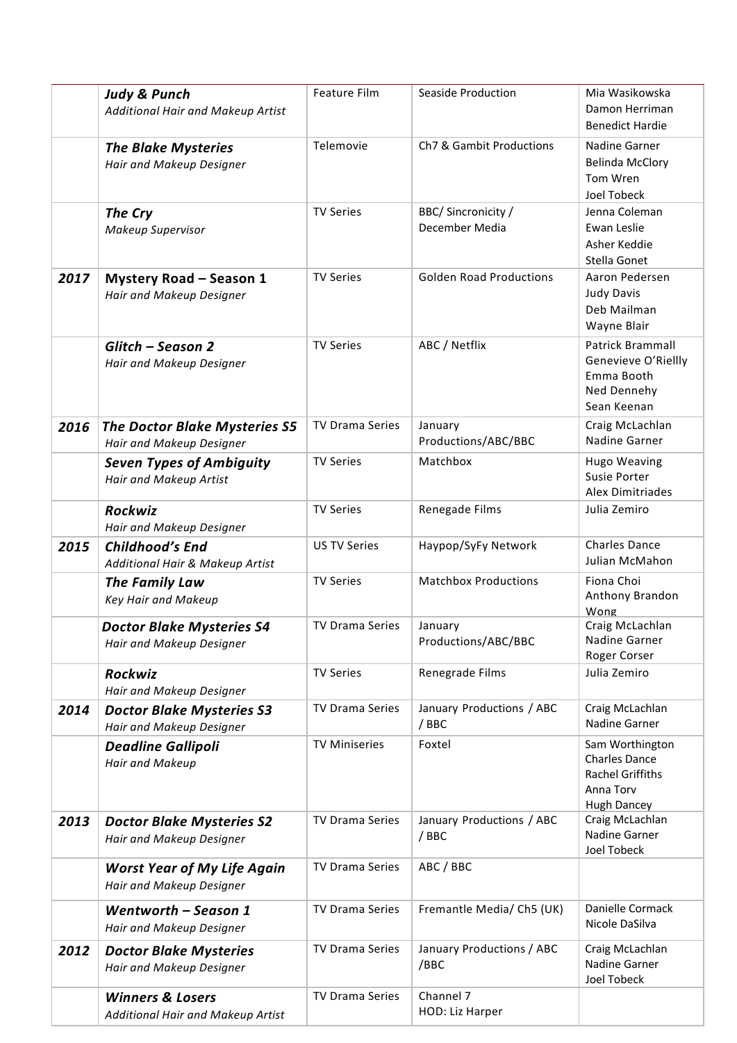|      | <b>Judy &amp; Punch</b><br>Additional Hair and Makeup Artist     | Feature Film           | Seaside Production                    | Mia Wasikowska<br>Damon Herriman<br><b>Benedict Hardie</b>                                            |
|------|------------------------------------------------------------------|------------------------|---------------------------------------|-------------------------------------------------------------------------------------------------------|
|      | <b>The Blake Mysteries</b><br>Hair and Makeup Designer           | Telemovie              | Ch7 & Gambit Productions              | Nadine Garner<br><b>Belinda McClory</b><br>Tom Wren<br>Joel Tobeck                                    |
|      | The Cry<br>Makeup Supervisor                                     | <b>TV Series</b>       | BBC/ Sincronicity /<br>December Media | Jenna Coleman<br>Ewan Leslie<br>Asher Keddie<br>Stella Gonet                                          |
| 2017 | <b>Mystery Road - Season 1</b><br>Hair and Makeup Designer       | <b>TV Series</b>       | <b>Golden Road Productions</b>        | Aaron Pedersen<br>Judy Davis<br>Deb Mailman<br>Wayne Blair                                            |
|      | Glitch - Season 2<br>Hair and Makeup Designer                    | <b>TV Series</b>       | ABC / Netflix                         | Patrick Brammall<br>Genevieve O'Riellly<br>Emma Booth<br>Ned Dennehy<br>Sean Keenan                   |
| 2016 | <b>The Doctor Blake Mysteries S5</b><br>Hair and Makeup Designer | <b>TV Drama Series</b> | January<br>Productions/ABC/BBC        | Craig McLachlan<br><b>Nadine Garner</b>                                                               |
|      | <b>Seven Types of Ambiguity</b><br>Hair and Makeup Artist        | <b>TV Series</b>       | Matchbox                              | <b>Hugo Weaving</b><br>Susie Porter<br>Alex Dimitriades                                               |
|      | Rockwiz<br>Hair and Makeup Designer                              | <b>TV Series</b>       | Renegade Films                        | Julia Zemiro                                                                                          |
| 2015 | Childhood's End<br>Additional Hair & Makeup Artist               | <b>US TV Series</b>    | Haypop/SyFy Network                   | <b>Charles Dance</b><br>Julian McMahon                                                                |
|      | The Family Law<br>Key Hair and Makeup                            | <b>TV Series</b>       | <b>Matchbox Productions</b>           | Fiona Choi<br>Anthony Brandon<br>Wong                                                                 |
|      | <b>Doctor Blake Mysteries S4</b><br>Hair and Makeup Designer     | <b>TV Drama Series</b> | January<br>Productions/ABC/BBC        | Craig McLachlan<br>Nadine Garner<br>Roger Corser                                                      |
|      | Rockwiz<br>Hair and Makeup Designer                              | <b>TV Series</b>       | Renegrade Films                       | Julia Zemiro                                                                                          |
| 2014 | <b>Doctor Blake Mysteries S3</b><br>Hair and Makeup Designer     | TV Drama Series        | January Productions / ABC<br>/ BBC    | Craig McLachlan<br>Nadine Garner                                                                      |
|      | <b>Deadline Gallipoli</b><br>Hair and Makeup                     | <b>TV Miniseries</b>   | Foxtel                                | Sam Worthington<br><b>Charles Dance</b><br><b>Rachel Griffiths</b><br>Anna Torv<br><b>Hugh Dancey</b> |
| 2013 | <b>Doctor Blake Mysteries S2</b><br>Hair and Makeup Designer     | TV Drama Series        | January Productions / ABC<br>/ BBC    | Craig McLachlan<br>Nadine Garner<br>Joel Tobeck                                                       |
|      | <b>Worst Year of My Life Again</b><br>Hair and Makeup Designer   | TV Drama Series        | ABC / BBC                             |                                                                                                       |
|      | Wentworth - Season 1<br>Hair and Makeup Designer                 | TV Drama Series        | Fremantle Media/ Ch5 (UK)             | Danielle Cormack<br>Nicole DaSilva                                                                    |
| 2012 | <b>Doctor Blake Mysteries</b><br>Hair and Makeup Designer        | TV Drama Series        | January Productions / ABC<br>/BBC     | Craig McLachlan<br>Nadine Garner<br>Joel Tobeck                                                       |
|      | <b>Winners &amp; Losers</b><br>Additional Hair and Makeup Artist | TV Drama Series        | Channel 7<br>HOD: Liz Harper          |                                                                                                       |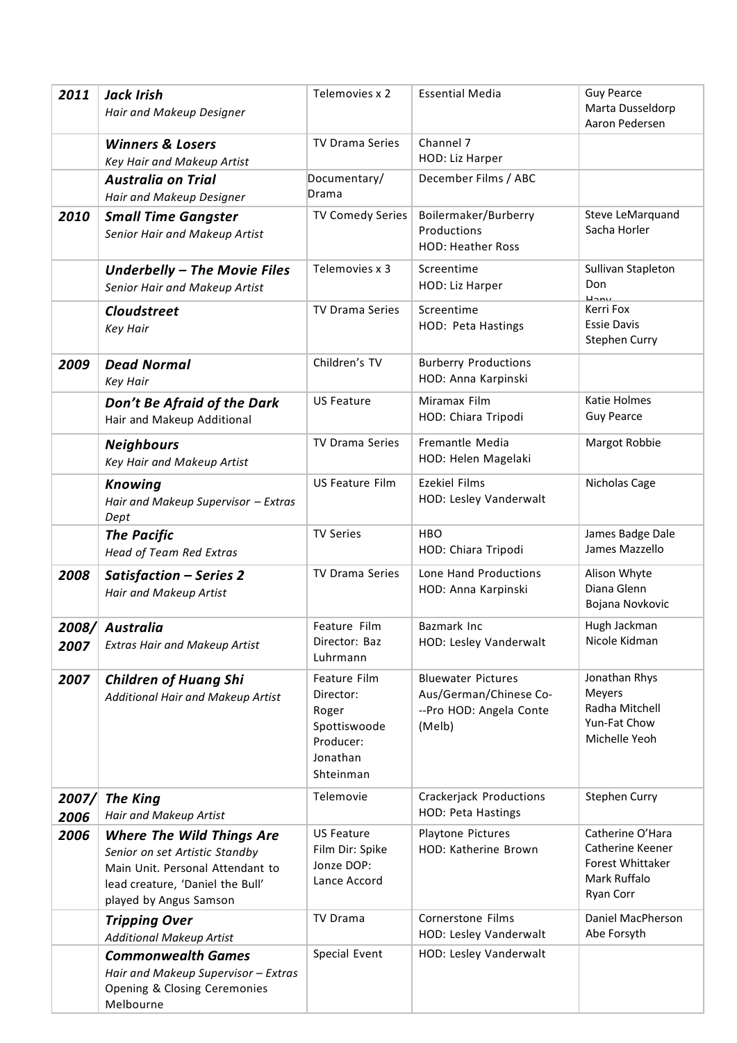| 2011          | <b>Jack Irish</b><br>Hair and Makeup Designer                                                                                                                        | Telemovies x 2                                                                           | <b>Essential Media</b>                                                                   | <b>Guy Pearce</b><br>Marta Dusseldorp<br>Aaron Pedersen                                      |
|---------------|----------------------------------------------------------------------------------------------------------------------------------------------------------------------|------------------------------------------------------------------------------------------|------------------------------------------------------------------------------------------|----------------------------------------------------------------------------------------------|
|               | <b>Winners &amp; Losers</b><br>Key Hair and Makeup Artist                                                                                                            | <b>TV Drama Series</b>                                                                   | Channel 7<br>HOD: Liz Harper                                                             |                                                                                              |
|               | <b>Australia on Trial</b><br>Hair and Makeup Designer                                                                                                                | Documentary/<br>Drama                                                                    | December Films / ABC                                                                     |                                                                                              |
| 2010          | <b>Small Time Gangster</b><br>Senior Hair and Makeup Artist                                                                                                          | <b>TV Comedy Series</b>                                                                  | Boilermaker/Burberry<br>Productions<br><b>HOD: Heather Ross</b>                          | Steve LeMarquand<br>Sacha Horler                                                             |
|               | Underbelly - The Movie Files<br>Senior Hair and Makeup Artist                                                                                                        | Telemovies x 3                                                                           | Screentime<br>HOD: Liz Harper                                                            | Sullivan Stapleton<br>Don<br>$L_{2}$                                                         |
|               | <b>Cloudstreet</b><br><b>Key Hair</b>                                                                                                                                | <b>TV Drama Series</b>                                                                   | Screentime<br>HOD: Peta Hastings                                                         | Kerri Fox<br><b>Essie Davis</b><br><b>Stephen Curry</b>                                      |
| 2009          | <b>Dead Normal</b><br><b>Key Hair</b>                                                                                                                                | Children's TV                                                                            | <b>Burberry Productions</b><br>HOD: Anna Karpinski                                       |                                                                                              |
|               | Don't Be Afraid of the Dark<br>Hair and Makeup Additional                                                                                                            | <b>US Feature</b>                                                                        | Miramax Film<br>HOD: Chiara Tripodi                                                      | Katie Holmes<br><b>Guy Pearce</b>                                                            |
|               | <b>Neighbours</b><br>Key Hair and Makeup Artist                                                                                                                      | TV Drama Series                                                                          | Fremantle Media<br>HOD: Helen Magelaki                                                   | Margot Robbie                                                                                |
|               | <b>Knowing</b><br>Hair and Makeup Supervisor - Extras<br>Dept                                                                                                        | <b>US Feature Film</b>                                                                   | <b>Ezekiel Films</b><br>HOD: Lesley Vanderwalt                                           | Nicholas Cage                                                                                |
|               | <b>The Pacific</b><br><b>Head of Team Red Extras</b>                                                                                                                 | <b>TV Series</b>                                                                         | <b>HBO</b><br>HOD: Chiara Tripodi                                                        | James Badge Dale<br>James Mazzello                                                           |
| 2008          | Satisfaction - Series 2<br>Hair and Makeup Artist                                                                                                                    | TV Drama Series                                                                          | Lone Hand Productions<br>HOD: Anna Karpinski                                             | Alison Whyte<br>Diana Glenn<br>Bojana Novkovic                                               |
| 2007          | 2008/ Australia<br><b>Extras Hair and Makeup Artist</b>                                                                                                              | Feature Film<br>Director: Baz<br>Luhrmann                                                | <b>Bazmark Inc</b><br>HOD: Lesley Vanderwalt                                             | Hugh Jackman<br>Nicole Kidman                                                                |
| 2007          | <b>Children of Huang Shi</b><br>Additional Hair and Makeup Artist                                                                                                    | Feature Film<br>Director:<br>Roger<br>Spottiswoode<br>Producer:<br>Jonathan<br>Shteinman | <b>Bluewater Pictures</b><br>Aus/German/Chinese Co-<br>--Pro HOD: Angela Conte<br>(Melb) | Jonathan Rhys<br>Meyers<br>Radha Mitchell<br>Yun-Fat Chow<br>Michelle Yeoh                   |
| 2007/<br>2006 | <b>The King</b><br>Hair and Makeup Artist                                                                                                                            | Telemovie                                                                                | Crackerjack Productions<br><b>HOD: Peta Hastings</b>                                     | Stephen Curry                                                                                |
| 2006          | <b>Where The Wild Things Are</b><br>Senior on set Artistic Standby<br>Main Unit. Personal Attendant to<br>lead creature, 'Daniel the Bull'<br>played by Angus Samson | <b>US Feature</b><br>Film Dir: Spike<br>Jonze DOP:<br>Lance Accord                       | Playtone Pictures<br>HOD: Katherine Brown                                                | Catherine O'Hara<br>Catherine Keener<br>Forest Whittaker<br>Mark Ruffalo<br><b>Ryan Corr</b> |
|               | <b>Tripping Over</b><br><b>Additional Makeup Artist</b>                                                                                                              | <b>TV Drama</b>                                                                          | Cornerstone Films<br>HOD: Lesley Vanderwalt                                              | Daniel MacPherson<br>Abe Forsyth                                                             |
|               | <b>Commonwealth Games</b><br>Hair and Makeup Supervisor - Extras<br>Opening & Closing Ceremonies<br>Melbourne                                                        | Special Event                                                                            | HOD: Lesley Vanderwalt                                                                   |                                                                                              |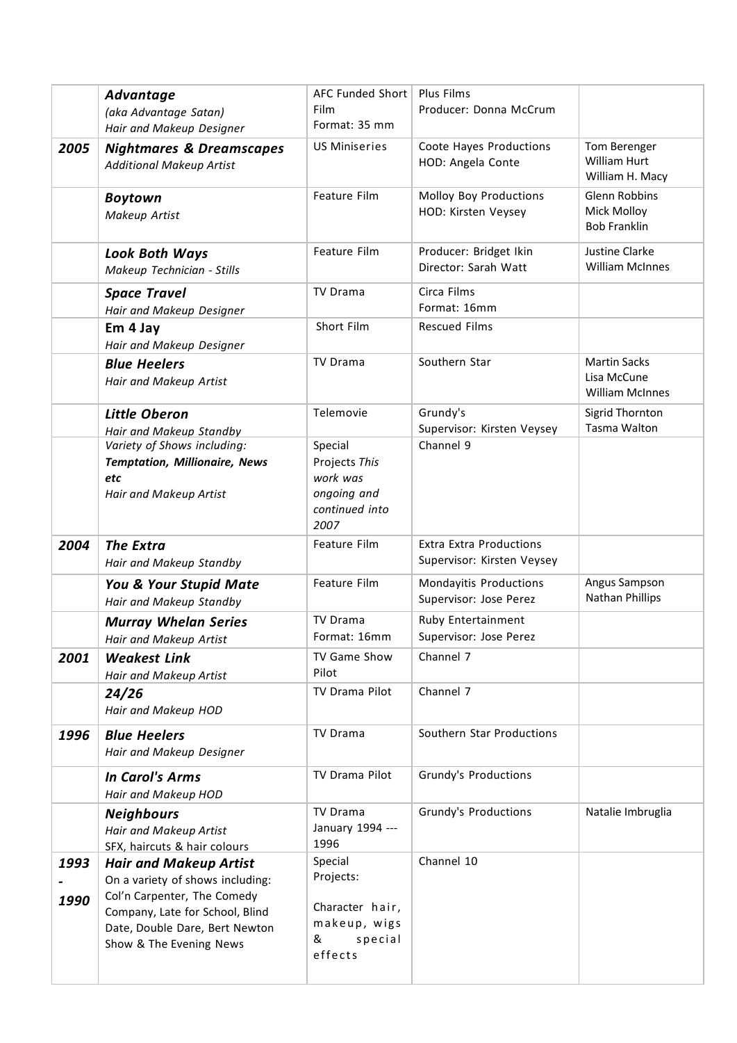|              | Advantage<br>(aka Advantage Satan)<br>Hair and Makeup Designer                                                                                                                                   | AFC Funded Short   Plus Films<br>Film<br>Format: 35 mm                             | Producer: Donna McCrum                                       |                                                                   |
|--------------|--------------------------------------------------------------------------------------------------------------------------------------------------------------------------------------------------|------------------------------------------------------------------------------------|--------------------------------------------------------------|-------------------------------------------------------------------|
| 2005         | <b>Nightmares &amp; Dreamscapes</b><br><b>Additional Makeup Artist</b>                                                                                                                           | <b>US Miniseries</b>                                                               | Coote Hayes Productions<br>HOD: Angela Conte                 | Tom Berenger<br>William Hurt<br>William H. Macy                   |
|              | <b>Boytown</b><br>Makeup Artist                                                                                                                                                                  | Feature Film                                                                       | Molloy Boy Productions<br>HOD: Kirsten Veysey                | <b>Glenn Robbins</b><br><b>Mick Molloy</b><br><b>Bob Franklin</b> |
|              | <b>Look Both Ways</b><br>Makeup Technician - Stills                                                                                                                                              | Feature Film                                                                       | Producer: Bridget Ikin<br>Director: Sarah Watt               | <b>Justine Clarke</b><br><b>William McInnes</b>                   |
|              | <b>Space Travel</b><br>Hair and Makeup Designer                                                                                                                                                  | <b>TV Drama</b>                                                                    | Circa Films<br>Format: 16mm                                  |                                                                   |
|              | Em 4 Jay<br>Hair and Makeup Designer                                                                                                                                                             | Short Film                                                                         | <b>Rescued Films</b>                                         |                                                                   |
|              | <b>Blue Heelers</b><br>Hair and Makeup Artist                                                                                                                                                    | <b>TV Drama</b>                                                                    | Southern Star                                                | <b>Martin Sacks</b><br>Lisa McCune<br><b>William McInnes</b>      |
|              | <b>Little Oberon</b><br>Hair and Makeup Standby                                                                                                                                                  | Telemovie                                                                          | Grundy's<br>Supervisor: Kirsten Veysey                       | Sigrid Thornton<br>Tasma Walton                                   |
|              | Variety of Shows including:<br><b>Temptation, Millionaire, News</b><br>etc<br>Hair and Makeup Artist                                                                                             | Special<br>Projects This<br>work was<br>ongoing and<br>continued into<br>2007      | Channel 9                                                    |                                                                   |
| 2004         | <b>The Extra</b><br>Hair and Makeup Standby                                                                                                                                                      | Feature Film                                                                       | <b>Extra Extra Productions</b><br>Supervisor: Kirsten Veysey |                                                                   |
|              | You & Your Stupid Mate<br>Hair and Makeup Standby                                                                                                                                                | Feature Film                                                                       | Mondayitis Productions<br>Supervisor: Jose Perez             | Angus Sampson<br>Nathan Phillips                                  |
|              | <b>Murray Whelan Series</b><br>Hair and Makeup Artist                                                                                                                                            | TV Drama<br>Format: 16mm                                                           | Ruby Entertainment<br>Supervisor: Jose Perez                 |                                                                   |
| 2001         | <b>Weakest Link</b><br>Hair and Makeup Artist                                                                                                                                                    | TV Game Show<br>Pilot                                                              | Channel 7                                                    |                                                                   |
|              | 24/26<br>Hair and Makeup HOD                                                                                                                                                                     | TV Drama Pilot                                                                     | Channel 7                                                    |                                                                   |
| 1996         | <b>Blue Heelers</b><br>Hair and Makeup Designer                                                                                                                                                  | <b>TV Drama</b>                                                                    | Southern Star Productions                                    |                                                                   |
|              | <b>In Carol's Arms</b><br>Hair and Makeup HOD                                                                                                                                                    | TV Drama Pilot                                                                     | Grundy's Productions                                         |                                                                   |
|              | <b>Neighbours</b><br>Hair and Makeup Artist<br>SFX, haircuts & hair colours                                                                                                                      | TV Drama<br>January 1994 ---<br>1996                                               | Grundy's Productions                                         | Natalie Imbruglia                                                 |
| 1993<br>1990 | <b>Hair and Makeup Artist</b><br>On a variety of shows including:<br>Col'n Carpenter, The Comedy<br>Company, Late for School, Blind<br>Date, Double Dare, Bert Newton<br>Show & The Evening News | Special<br>Projects:<br>Character hair,<br>makeup, wigs<br>special<br>&<br>effects | Channel 10                                                   |                                                                   |